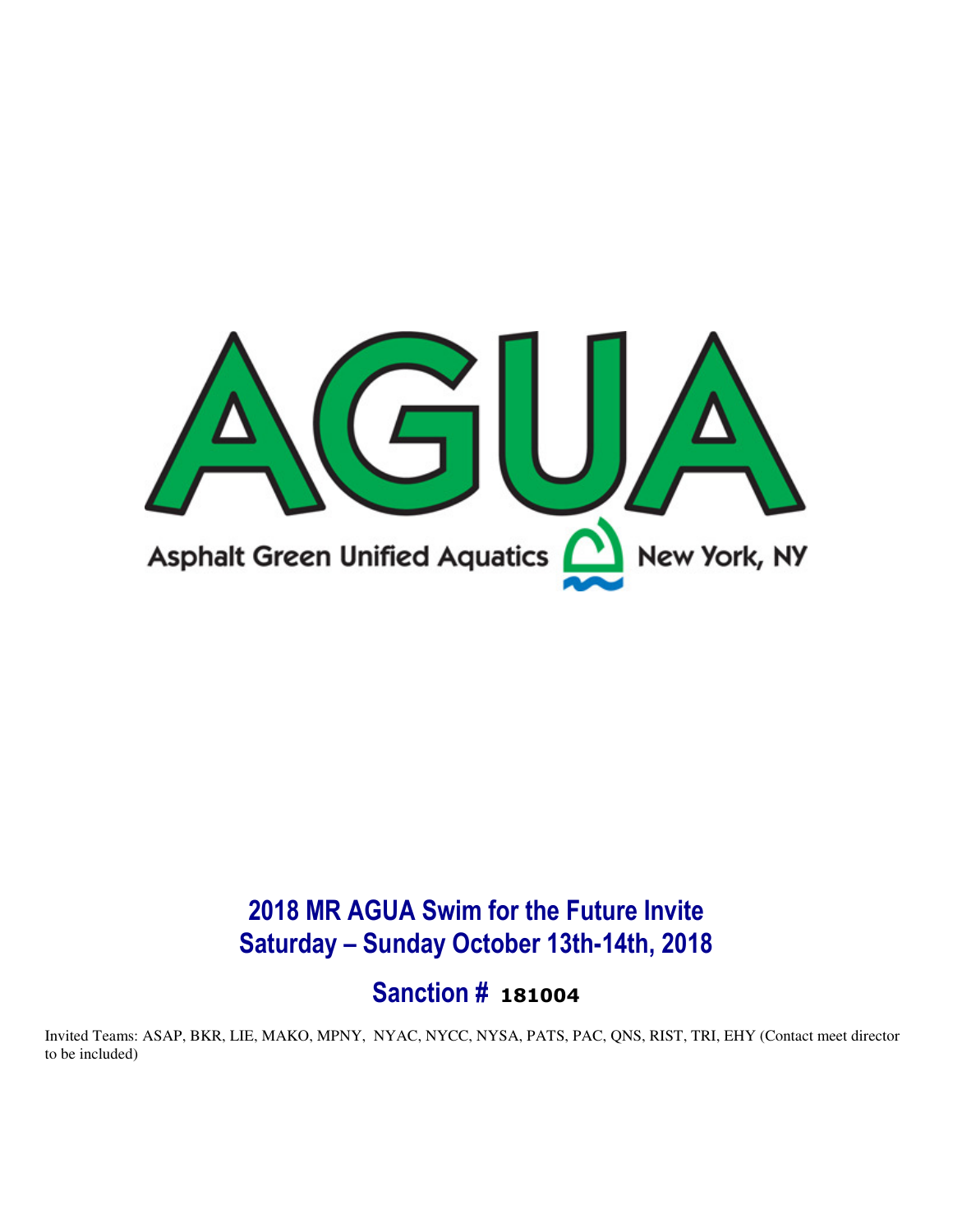

# 2018 MR AGUA Swim for the Future Invite Saturday – Sunday October 13th-14th, 2018

## Sanction # <sup>181004</sup>

Invited Teams: ASAP, BKR, LIE, MAKO, MPNY, NYAC, NYCC, NYSA, PATS, PAC, QNS, RIST, TRI, EHY (Contact meet director to be included)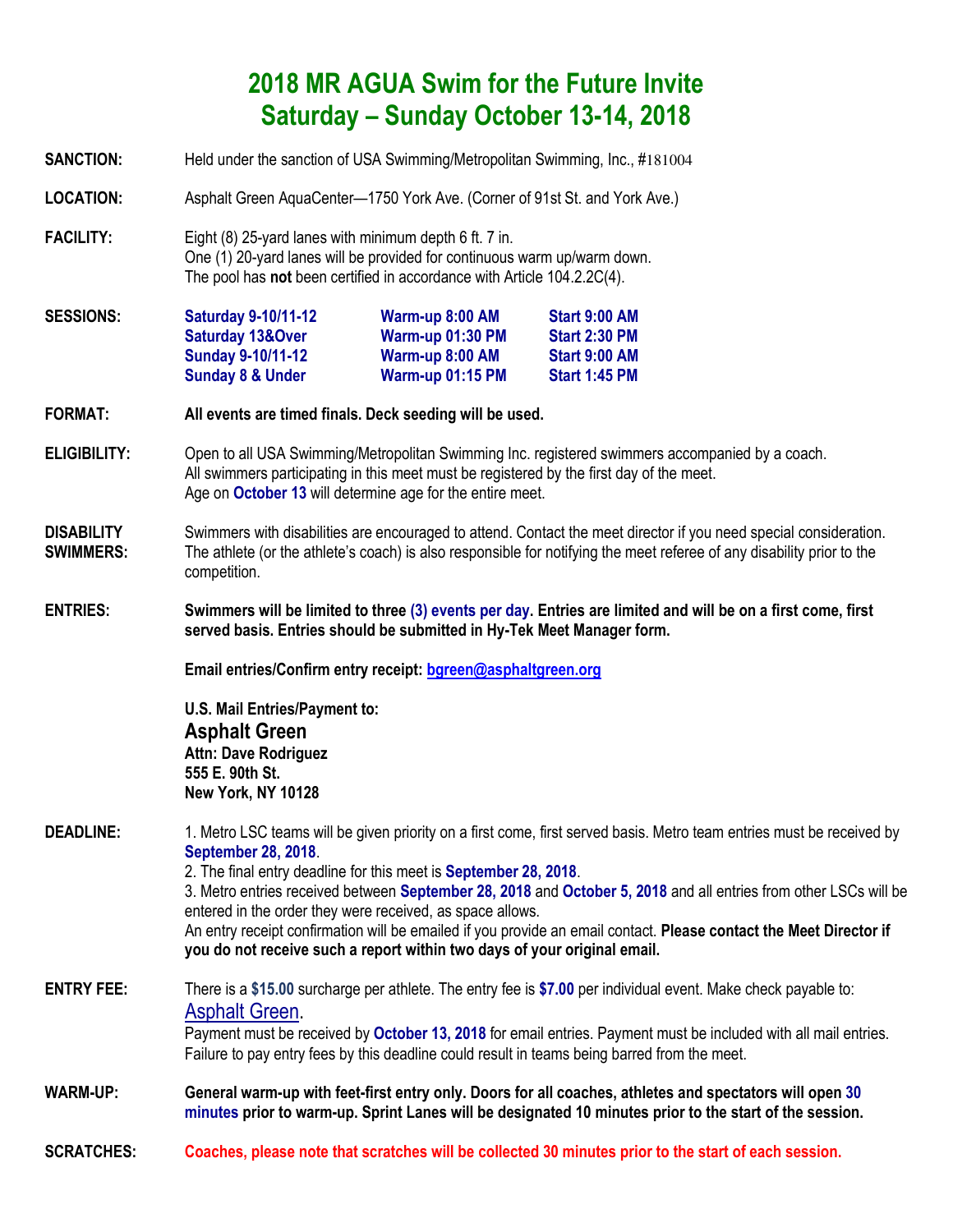### 2018 MR AGUA Swim for the Future Invite Saturday – Sunday October 13-14, 2018

SANCTION: Held under the sanction of USA Swimming/Metropolitan Swimming, Inc., #181004 LOCATION: Asphalt Green AquaCenter—1750 York Ave. (Corner of 91st St. and York Ave.) FACILITY: Eight (8) 25-yard lanes with minimum depth 6 ft. 7 in. One (1) 20-yard lanes will be provided for continuous warm up/warm down. The pool has not been certified in accordance with Article 104.2.2C(4). SESSIONS: Saturday 9-10/11-12 Warm-up 8:00 AM Start 9:00 AM<br>Saturday 13&Over Warm-up 01:30 PM Start 2:30 PM Warm-up 01:30 PM Sunday 9-10/11-12 Warm-up 8:00 AM Start 9:00 AM Sunday 8 & Under Warm-up 01:15 PM Start 1:45 PM FORMAT: All events are timed finals. Deck seeding will be used. ELIGIBILITY: Open to all USA Swimming/Metropolitan Swimming Inc. registered swimmers accompanied by a coach. All swimmers participating in this meet must be registered by the first day of the meet. Age on October 13 will determine age for the entire meet. DISABILITY Swimmers with disabilities are encouraged to attend. Contact the meet director if you need special consideration. **SWIMMERS:** The athlete (or the athlete's coach) is also responsible for notifying the meet referee of any disability prior to the competition. ENTRIES: Swimmers will be limited to three (3) events per day. Entries are limited and will be on a first come, first served basis. Entries should be submitted in Hy-Tek Meet Manager form. Email entries/Confirm entry receipt: bgreen@asphaltgreen.org U.S. Mail Entries/Payment to: Asphalt Green Attn: Dave Rodriguez 555 E. 90th St. New York, NY 10128 DEADLINE: 1. Metro LSC teams will be given priority on a first come, first served basis. Metro team entries must be received by September 28, 2018. 2. The final entry deadline for this meet is September 28, 2018. 3. Metro entries received between September 28, 2018 and October 5, 2018 and all entries from other LSCs will be entered in the order they were received, as space allows. An entry receipt confirmation will be emailed if you provide an email contact. Please contact the Meet Director if you do not receive such a report within two days of your original email. ENTRY FEE: There is a \$15.00 surcharge per athlete. The entry fee is \$7.00 per individual event. Make check payable to: Asphalt Green. Payment must be received by October 13, 2018 for email entries. Payment must be included with all mail entries. Failure to pay entry fees by this deadline could result in teams being barred from the meet. WARM-UP: General warm-up with feet-first entry only. Doors for all coaches, athletes and spectators will open 30 minutes prior to warm-up. Sprint Lanes will be designated 10 minutes prior to the start of the session. SCRATCHES: Coaches, please note that scratches will be collected 30 minutes prior to the start of each session.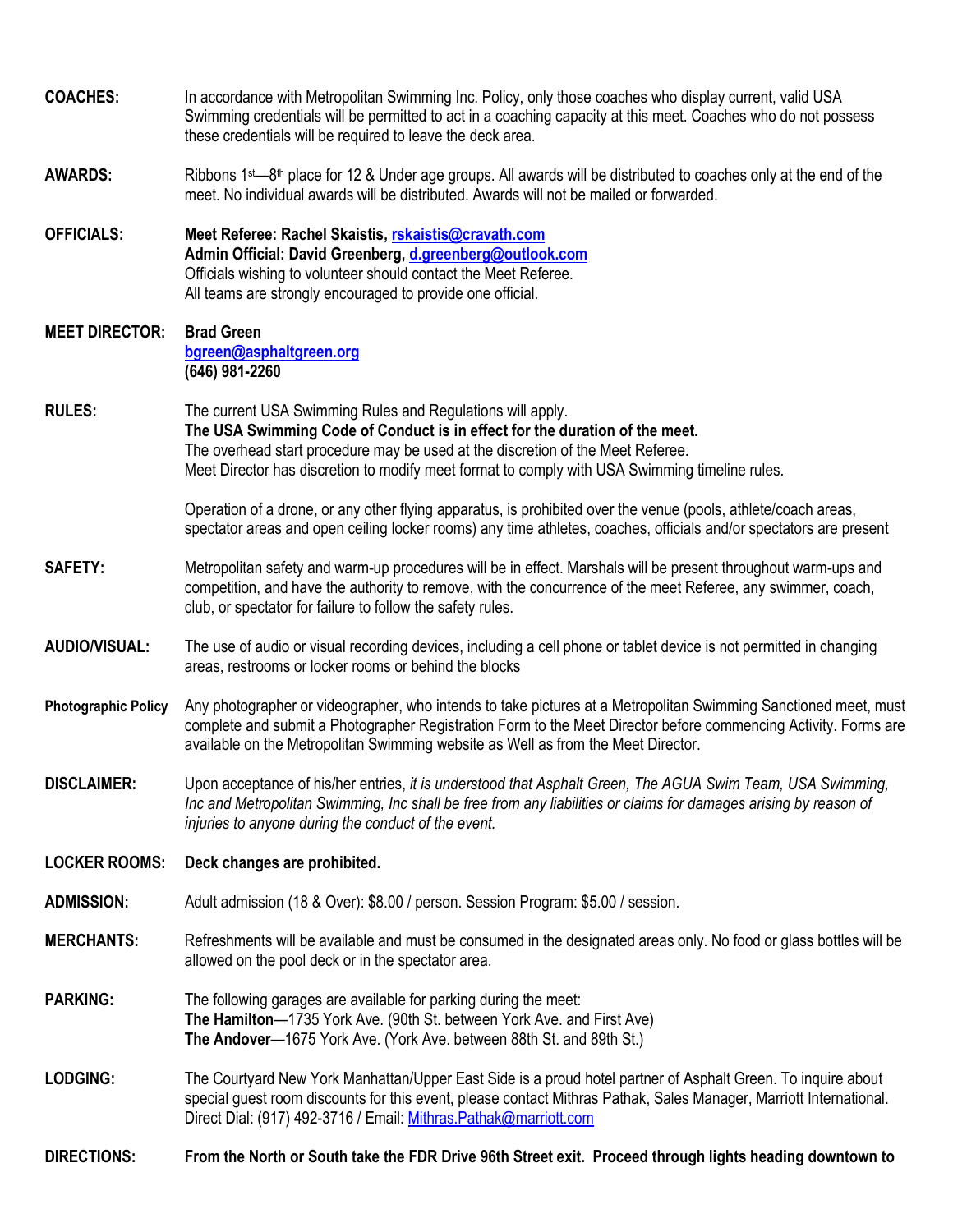| <b>COACHES:</b>            | In accordance with Metropolitan Swimming Inc. Policy, only those coaches who display current, valid USA<br>Swimming credentials will be permitted to act in a coaching capacity at this meet. Coaches who do not possess<br>these credentials will be required to leave the deck area.                                         |
|----------------------------|--------------------------------------------------------------------------------------------------------------------------------------------------------------------------------------------------------------------------------------------------------------------------------------------------------------------------------|
| <b>AWARDS:</b>             | Ribbons 1 <sup>st</sup> —8 <sup>th</sup> place for 12 & Under age groups. All awards will be distributed to coaches only at the end of the<br>meet. No individual awards will be distributed. Awards will not be mailed or forwarded.                                                                                          |
| <b>OFFICIALS:</b>          | Meet Referee: Rachel Skaistis, rskaistis@cravath.com<br>Admin Official: David Greenberg, d.greenberg@outlook.com<br>Officials wishing to volunteer should contact the Meet Referee.<br>All teams are strongly encouraged to provide one official.                                                                              |
| <b>MEET DIRECTOR:</b>      | <b>Brad Green</b><br>bgreen@asphaltgreen.org<br>(646) 981-2260                                                                                                                                                                                                                                                                 |
| <b>RULES:</b>              | The current USA Swimming Rules and Regulations will apply.<br>The USA Swimming Code of Conduct is in effect for the duration of the meet.<br>The overhead start procedure may be used at the discretion of the Meet Referee.<br>Meet Director has discretion to modify meet format to comply with USA Swimming timeline rules. |
|                            | Operation of a drone, or any other flying apparatus, is prohibited over the venue (pools, athlete/coach areas,<br>spectator areas and open ceiling locker rooms) any time athletes, coaches, officials and/or spectators are present                                                                                           |
| <b>SAFETY:</b>             | Metropolitan safety and warm-up procedures will be in effect. Marshals will be present throughout warm-ups and<br>competition, and have the authority to remove, with the concurrence of the meet Referee, any swimmer, coach,<br>club, or spectator for failure to follow the safety rules.                                   |
| <b>AUDIO/VISUAL:</b>       | The use of audio or visual recording devices, including a cell phone or tablet device is not permitted in changing<br>areas, restrooms or locker rooms or behind the blocks                                                                                                                                                    |
| <b>Photographic Policy</b> | Any photographer or videographer, who intends to take pictures at a Metropolitan Swimming Sanctioned meet, must<br>complete and submit a Photographer Registration Form to the Meet Director before commencing Activity. Forms are<br>available on the Metropolitan Swimming website as Well as from the Meet Director.        |
| <b>DISCLAIMER:</b>         | Upon acceptance of his/her entries, it is understood that Asphalt Green, The AGUA Swim Team, USA Swimming,<br>Inc and Metropolitan Swimming, Inc shall be free from any liabilities or claims for damages arising by reason of<br>injuries to anyone during the conduct of the event.                                          |
| <b>LOCKER ROOMS:</b>       | Deck changes are prohibited.                                                                                                                                                                                                                                                                                                   |
| <b>ADMISSION:</b>          | Adult admission (18 & Over): \$8.00 / person. Session Program: \$5.00 / session.                                                                                                                                                                                                                                               |
| <b>MERCHANTS:</b>          | Refreshments will be available and must be consumed in the designated areas only. No food or glass bottles will be<br>allowed on the pool deck or in the spectator area.                                                                                                                                                       |
| <b>PARKING:</b>            | The following garages are available for parking during the meet:<br>The Hamilton-1735 York Ave. (90th St. between York Ave. and First Ave)<br>The Andover-1675 York Ave. (York Ave. between 88th St. and 89th St.)                                                                                                             |
| <b>LODGING:</b>            | The Courtyard New York Manhattan/Upper East Side is a proud hotel partner of Asphalt Green. To inquire about<br>special quest room discounts for this event, please contact Mithras Pathak, Sales Manager, Marriott International.<br>Direct Dial: (917) 492-3716 / Email: Mithras.Pathak@marriott.com                         |
| <b>DIRECTIONS:</b>         | From the North or South take the FDR Drive 96th Street exit. Proceed through lights heading downtown to                                                                                                                                                                                                                        |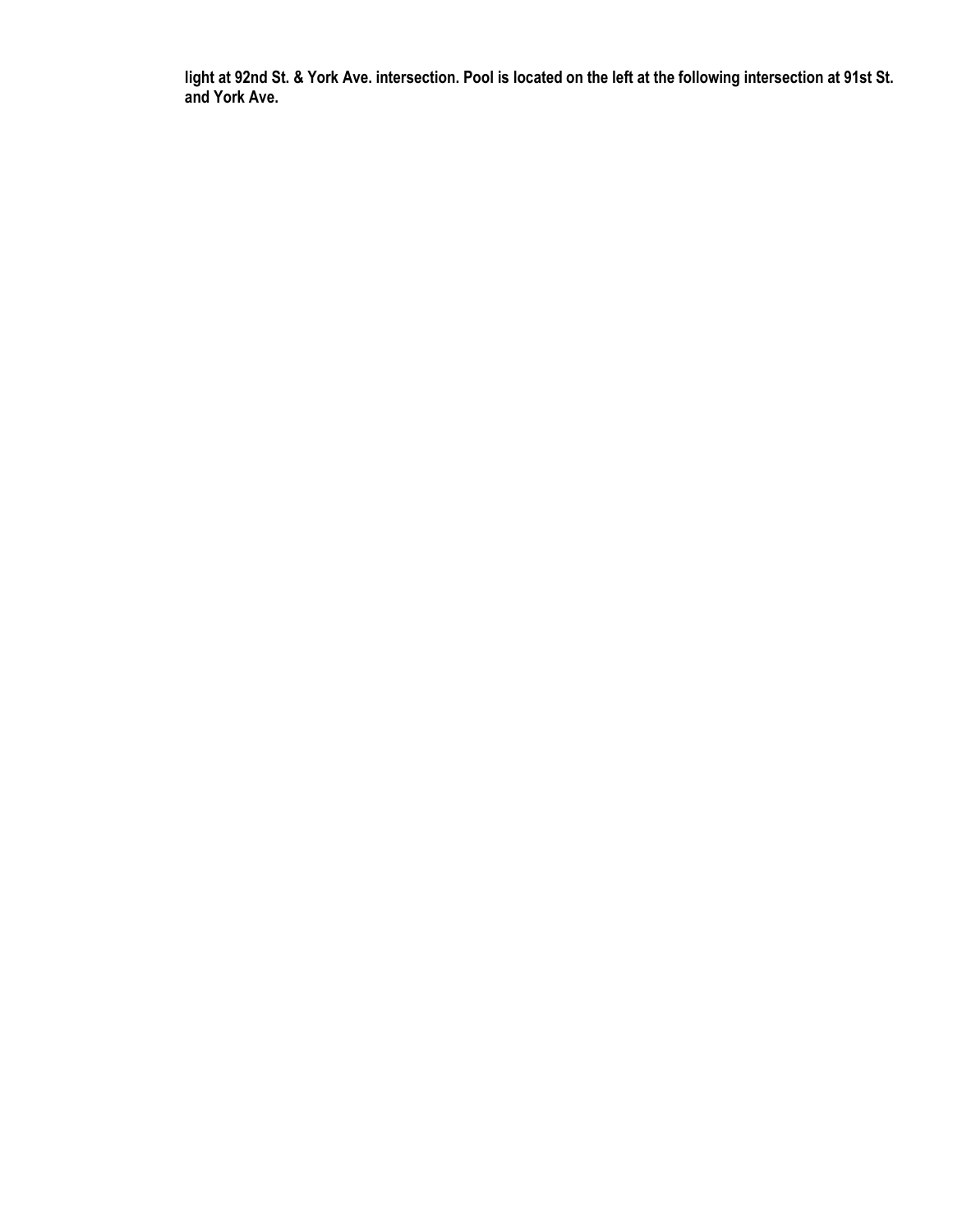light at 92nd St. & York Ave. intersection. Pool is located on the left at the following intersection at 91st St. and York Ave.